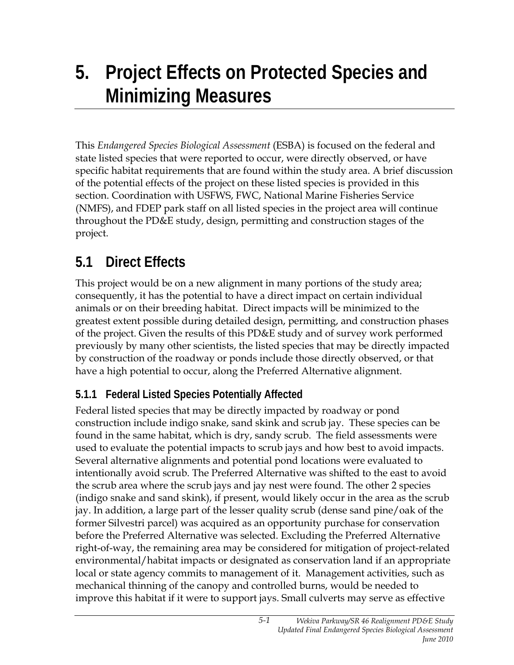# **5. Project Effects on Protected Species and Minimizing Measures**

This *Endangered Species Biological Assessment* (ESBA) is focused on the federal and state listed species that were reported to occur, were directly observed, or have specific habitat requirements that are found within the study area. A brief discussion of the potential effects of the project on these listed species is provided in this section. Coordination with USFWS, FWC, National Marine Fisheries Service (NMFS), and FDEP park staff on all listed species in the project area will continue throughout the PD&E study, design, permitting and construction stages of the project.

### **5.1 Direct Effects**

This project would be on a new alignment in many portions of the study area; consequently, it has the potential to have a direct impact on certain individual animals or on their breeding habitat. Direct impacts will be minimized to the greatest extent possible during detailed design, permitting, and construction phases of the project. Given the results of this PD&E study and of survey work performed previously by many other scientists, the listed species that may be directly impacted by construction of the roadway or ponds include those directly observed, or that have a high potential to occur, along the Preferred Alternative alignment.

#### **5.1.1 Federal Listed Species Potentially Affected**

Federal listed species that may be directly impacted by roadway or pond construction include indigo snake, sand skink and scrub jay. These species can be found in the same habitat, which is dry, sandy scrub. The field assessments were used to evaluate the potential impacts to scrub jays and how best to avoid impacts. Several alternative alignments and potential pond locations were evaluated to intentionally avoid scrub. The Preferred Alternative was shifted to the east to avoid the scrub area where the scrub jays and jay nest were found. The other 2 species (indigo snake and sand skink), if present, would likely occur in the area as the scrub jay. In addition, a large part of the lesser quality scrub (dense sand pine/oak of the former Silvestri parcel) was acquired as an opportunity purchase for conservation before the Preferred Alternative was selected. Excluding the Preferred Alternative right-of-way, the remaining area may be considered for mitigation of project-related environmental/habitat impacts or designated as conservation land if an appropriate local or state agency commits to management of it. Management activities, such as mechanical thinning of the canopy and controlled burns, would be needed to improve this habitat if it were to support jays. Small culverts may serve as effective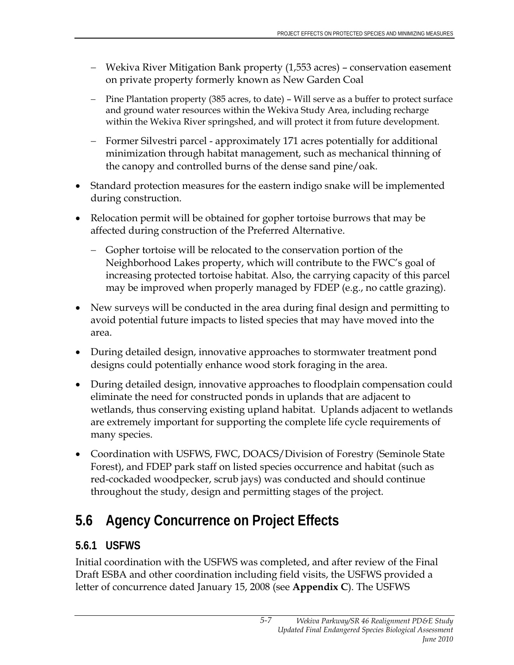- − Wekiva River Mitigation Bank property (1,553 acres) conservation easement on private property formerly known as New Garden Coal
- − Pine Plantation property (385 acres, to date) Will serve as a buffer to protect surface and ground water resources within the Wekiva Study Area, including recharge within the Wekiva River springshed, and will protect it from future development.
- − Former Silvestri parcel approximately 171 acres potentially for additional minimization through habitat management, such as mechanical thinning of the canopy and controlled burns of the dense sand pine/oak.
- Standard protection measures for the eastern indigo snake will be implemented during construction.
- Relocation permit will be obtained for gopher tortoise burrows that may be affected during construction of the Preferred Alternative.
	- − Gopher tortoise will be relocated to the conservation portion of the Neighborhood Lakes property, which will contribute to the FWC's goal of increasing protected tortoise habitat. Also, the carrying capacity of this parcel may be improved when properly managed by FDEP (e.g., no cattle grazing).
- New surveys will be conducted in the area during final design and permitting to avoid potential future impacts to listed species that may have moved into the area.
- During detailed design, innovative approaches to stormwater treatment pond designs could potentially enhance wood stork foraging in the area.
- During detailed design, innovative approaches to floodplain compensation could eliminate the need for constructed ponds in uplands that are adjacent to wetlands, thus conserving existing upland habitat. Uplands adjacent to wetlands are extremely important for supporting the complete life cycle requirements of many species.
- Coordination with USFWS, FWC, DOACS/Division of Forestry (Seminole State Forest), and FDEP park staff on listed species occurrence and habitat (such as red-cockaded woodpecker, scrub jays) was conducted and should continue throughout the study, design and permitting stages of the project.

# **5.6 Agency Concurrence on Project Effects**

### **5.6.1 USFWS**

Initial coordination with the USFWS was completed, and after review of the Final Draft ESBA and other coordination including field visits, the USFWS provided a letter of concurrence dated January 15, 2008 (see **Appendix C**). The USFWS

*5-7*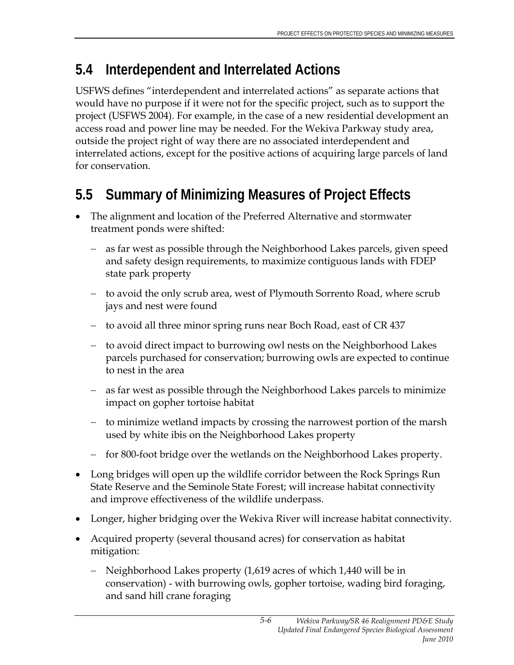### **5.4 Interdependent and Interrelated Actions**

USFWS defines "interdependent and interrelated actions" as separate actions that would have no purpose if it were not for the specific project, such as to support the project (USFWS 2004). For example, in the case of a new residential development an access road and power line may be needed. For the Wekiva Parkway study area, outside the project right of way there are no associated interdependent and interrelated actions, except for the positive actions of acquiring large parcels of land for conservation.

### **5.5 Summary of Minimizing Measures of Project Effects**

- The alignment and location of the Preferred Alternative and stormwater treatment ponds were shifted:
	- − as far west as possible through the Neighborhood Lakes parcels, given speed and safety design requirements, to maximize contiguous lands with FDEP state park property
	- − to avoid the only scrub area, west of Plymouth Sorrento Road, where scrub jays and nest were found
	- − to avoid all three minor spring runs near Boch Road, east of CR 437
	- − to avoid direct impact to burrowing owl nests on the Neighborhood Lakes parcels purchased for conservation; burrowing owls are expected to continue to nest in the area
	- − as far west as possible through the Neighborhood Lakes parcels to minimize impact on gopher tortoise habitat
	- − to minimize wetland impacts by crossing the narrowest portion of the marsh used by white ibis on the Neighborhood Lakes property
	- − for 800-foot bridge over the wetlands on the Neighborhood Lakes property.
- Long bridges will open up the wildlife corridor between the Rock Springs Run State Reserve and the Seminole State Forest; will increase habitat connectivity and improve effectiveness of the wildlife underpass.
- Longer, higher bridging over the Wekiva River will increase habitat connectivity.
- Acquired property (several thousand acres) for conservation as habitat mitigation:
	- − Neighborhood Lakes property (1,619 acres of which 1,440 will be in conservation) - with burrowing owls, gopher tortoise, wading bird foraging, and sand hill crane foraging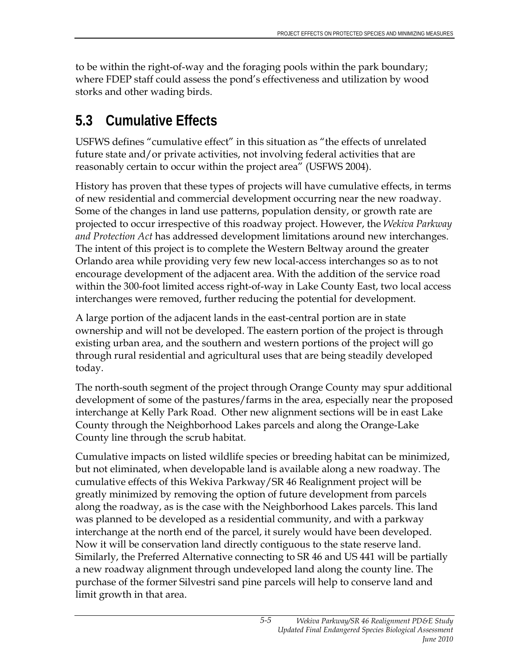to be within the right-of-way and the foraging pools within the park boundary; where FDEP staff could assess the pond's effectiveness and utilization by wood storks and other wading birds.

### **5.3 Cumulative Effects**

USFWS defines "cumulative effect" in this situation as "the effects of unrelated future state and/or private activities, not involving federal activities that are reasonably certain to occur within the project area" (USFWS 2004).

History has proven that these types of projects will have cumulative effects, in terms of new residential and commercial development occurring near the new roadway. Some of the changes in land use patterns, population density, or growth rate are projected to occur irrespective of this roadway project. However, the *Wekiva Parkway and Protection Act* has addressed development limitations around new interchanges. The intent of this project is to complete the Western Beltway around the greater Orlando area while providing very few new local-access interchanges so as to not encourage development of the adjacent area. With the addition of the service road within the 300-foot limited access right-of-way in Lake County East, two local access interchanges were removed, further reducing the potential for development.

A large portion of the adjacent lands in the east-central portion are in state ownership and will not be developed. The eastern portion of the project is through existing urban area, and the southern and western portions of the project will go through rural residential and agricultural uses that are being steadily developed today.

The north-south segment of the project through Orange County may spur additional development of some of the pastures/farms in the area, especially near the proposed interchange at Kelly Park Road. Other new alignment sections will be in east Lake County through the Neighborhood Lakes parcels and along the Orange-Lake County line through the scrub habitat.

Cumulative impacts on listed wildlife species or breeding habitat can be minimized, but not eliminated, when developable land is available along a new roadway. The cumulative effects of this Wekiva Parkway/SR 46 Realignment project will be greatly minimized by removing the option of future development from parcels along the roadway, as is the case with the Neighborhood Lakes parcels. This land was planned to be developed as a residential community, and with a parkway interchange at the north end of the parcel, it surely would have been developed. Now it will be conservation land directly contiguous to the state reserve land. Similarly, the Preferred Alternative connecting to SR 46 and US 441 will be partially a new roadway alignment through undeveloped land along the county line. The purchase of the former Silvestri sand pine parcels will help to conserve land and limit growth in that area.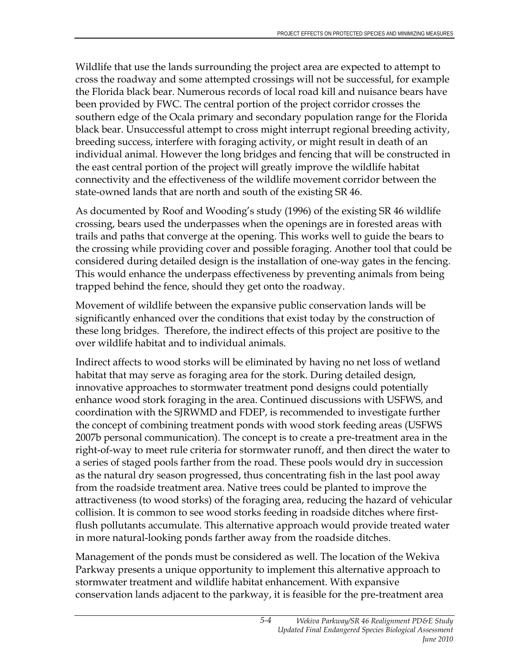Wildlife that use the lands surrounding the project area are expected to attempt to cross the roadway and some attempted crossings will not be successful, for example the Florida black bear. Numerous records of local road kill and nuisance bears have been provided by FWC. The central portion of the project corridor crosses the southern edge of the Ocala primary and secondary population range for the Florida black bear. Unsuccessful attempt to cross might interrupt regional breeding activity, breeding success, interfere with foraging activity, or might result in death of an individual animal. However the long bridges and fencing that will be constructed in the east central portion of the project will greatly improve the wildlife habitat connectivity and the effectiveness of the wildlife movement corridor between the state-owned lands that are north and south of the existing SR 46.

As documented by Roof and Wooding's study (1996) of the existing SR 46 wildlife crossing, bears used the underpasses when the openings are in forested areas with trails and paths that converge at the opening. This works well to guide the bears to the crossing while providing cover and possible foraging. Another tool that could be considered during detailed design is the installation of one-way gates in the fencing. This would enhance the underpass effectiveness by preventing animals from being trapped behind the fence, should they get onto the roadway.

Movement of wildlife between the expansive public conservation lands will be significantly enhanced over the conditions that exist today by the construction of these long bridges. Therefore, the indirect effects of this project are positive to the over wildlife habitat and to individual animals.

Indirect affects to wood storks will be eliminated by having no net loss of wetland habitat that may serve as foraging area for the stork. During detailed design, innovative approaches to stormwater treatment pond designs could potentially enhance wood stork foraging in the area. Continued discussions with USFWS, and coordination with the SJRWMD and FDEP, is recommended to investigate further the concept of combining treatment ponds with wood stork feeding areas (USFWS 2007b personal communication). The concept is to create a pre-treatment area in the right-of-way to meet rule criteria for stormwater runoff, and then direct the water to a series of staged pools farther from the road. These pools would dry in succession as the natural dry season progressed, thus concentrating fish in the last pool away from the roadside treatment area. Native trees could be planted to improve the attractiveness (to wood storks) of the foraging area, reducing the hazard of vehicular collision. It is common to see wood storks feeding in roadside ditches where firstflush pollutants accumulate. This alternative approach would provide treated water in more natural-looking ponds farther away from the roadside ditches.

Management of the ponds must be considered as well. The location of the Wekiva Parkway presents a unique opportunity to implement this alternative approach to stormwater treatment and wildlife habitat enhancement. With expansive conservation lands adjacent to the parkway, it is feasible for the pre-treatment area

*5-4*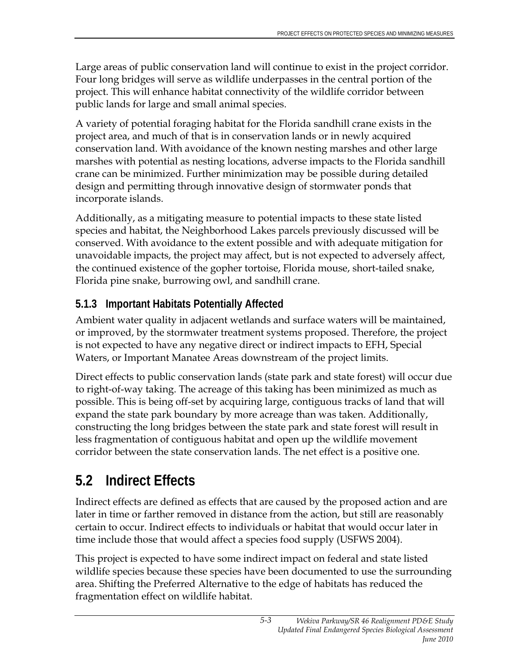Large areas of public conservation land will continue to exist in the project corridor. Four long bridges will serve as wildlife underpasses in the central portion of the project. This will enhance habitat connectivity of the wildlife corridor between public lands for large and small animal species.

A variety of potential foraging habitat for the Florida sandhill crane exists in the project area, and much of that is in conservation lands or in newly acquired conservation land. With avoidance of the known nesting marshes and other large marshes with potential as nesting locations, adverse impacts to the Florida sandhill crane can be minimized. Further minimization may be possible during detailed design and permitting through innovative design of stormwater ponds that incorporate islands.

Additionally, as a mitigating measure to potential impacts to these state listed species and habitat, the Neighborhood Lakes parcels previously discussed will be conserved. With avoidance to the extent possible and with adequate mitigation for unavoidable impacts, the project may affect, but is not expected to adversely affect, the continued existence of the gopher tortoise, Florida mouse, short-tailed snake, Florida pine snake, burrowing owl, and sandhill crane.

#### **5.1.3 Important Habitats Potentially Affected**

Ambient water quality in adjacent wetlands and surface waters will be maintained, or improved, by the stormwater treatment systems proposed. Therefore, the project is not expected to have any negative direct or indirect impacts to EFH, Special Waters, or Important Manatee Areas downstream of the project limits.

Direct effects to public conservation lands (state park and state forest) will occur due to right-of-way taking. The acreage of this taking has been minimized as much as possible. This is being off-set by acquiring large, contiguous tracks of land that will expand the state park boundary by more acreage than was taken. Additionally, constructing the long bridges between the state park and state forest will result in less fragmentation of contiguous habitat and open up the wildlife movement corridor between the state conservation lands. The net effect is a positive one.

## **5.2 Indirect Effects**

Indirect effects are defined as effects that are caused by the proposed action and are later in time or farther removed in distance from the action, but still are reasonably certain to occur. Indirect effects to individuals or habitat that would occur later in time include those that would affect a species food supply (USFWS 2004).

This project is expected to have some indirect impact on federal and state listed wildlife species because these species have been documented to use the surrounding area. Shifting the Preferred Alternative to the edge of habitats has reduced the fragmentation effect on wildlife habitat.

*5-3*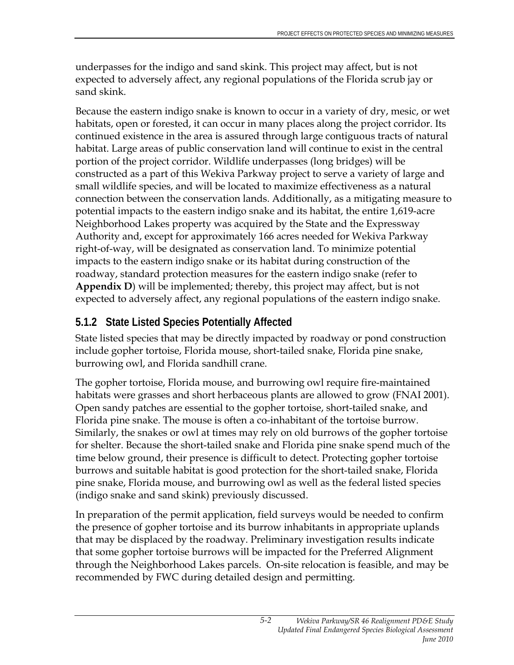underpasses for the indigo and sand skink. This project may affect, but is not expected to adversely affect, any regional populations of the Florida scrub jay or sand skink.

Because the eastern indigo snake is known to occur in a variety of dry, mesic, or wet habitats, open or forested, it can occur in many places along the project corridor. Its continued existence in the area is assured through large contiguous tracts of natural habitat. Large areas of public conservation land will continue to exist in the central portion of the project corridor. Wildlife underpasses (long bridges) will be constructed as a part of this Wekiva Parkway project to serve a variety of large and small wildlife species, and will be located to maximize effectiveness as a natural connection between the conservation lands. Additionally, as a mitigating measure to potential impacts to the eastern indigo snake and its habitat, the entire 1,619-acre Neighborhood Lakes property was acquired by the State and the Expressway Authority and, except for approximately 166 acres needed for Wekiva Parkway right-of-way, will be designated as conservation land. To minimize potential impacts to the eastern indigo snake or its habitat during construction of the roadway, standard protection measures for the eastern indigo snake (refer to **Appendix D**) will be implemented; thereby, this project may affect, but is not expected to adversely affect, any regional populations of the eastern indigo snake.

### **5.1.2 State Listed Species Potentially Affected**

State listed species that may be directly impacted by roadway or pond construction include gopher tortoise, Florida mouse, short-tailed snake, Florida pine snake, burrowing owl, and Florida sandhill crane.

The gopher tortoise, Florida mouse, and burrowing owl require fire-maintained habitats were grasses and short herbaceous plants are allowed to grow (FNAI 2001). Open sandy patches are essential to the gopher tortoise, short-tailed snake, and Florida pine snake. The mouse is often a co-inhabitant of the tortoise burrow. Similarly, the snakes or owl at times may rely on old burrows of the gopher tortoise for shelter. Because the short-tailed snake and Florida pine snake spend much of the time below ground, their presence is difficult to detect. Protecting gopher tortoise burrows and suitable habitat is good protection for the short-tailed snake, Florida pine snake, Florida mouse, and burrowing owl as well as the federal listed species (indigo snake and sand skink) previously discussed.

In preparation of the permit application, field surveys would be needed to confirm the presence of gopher tortoise and its burrow inhabitants in appropriate uplands that may be displaced by the roadway. Preliminary investigation results indicate that some gopher tortoise burrows will be impacted for the Preferred Alignment through the Neighborhood Lakes parcels. On-site relocation is feasible, and may be recommended by FWC during detailed design and permitting.